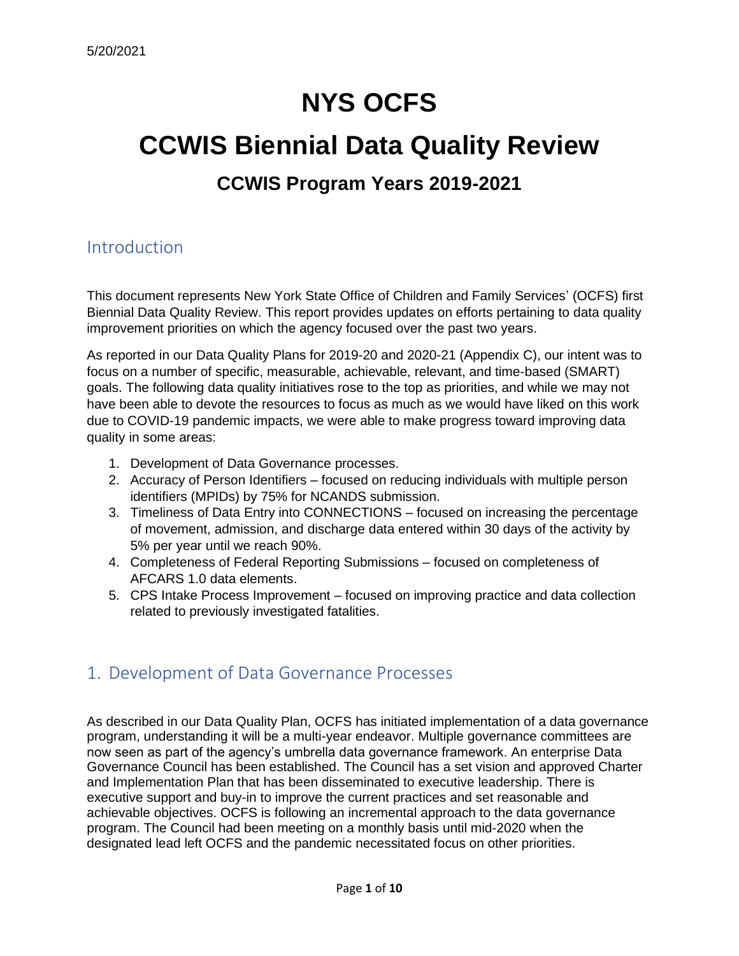# **NYS OCFS**

# **CCWIS Biennial Data Quality Review CCWIS Program Years 2019-2021**

## Introduction

This document represents New York State Office of Children and Family Services' (OCFS) first Biennial Data Quality Review. This report provides updates on efforts pertaining to data quality improvement priorities on which the agency focused over the past two years.

As reported in our Data Quality Plans for 2019-20 and 2020-21 (Appendix C), our intent was to focus on a number of specific, measurable, achievable, relevant, and time-based (SMART) goals. The following data quality initiatives rose to the top as priorities, and while we may not have been able to devote the resources to focus as much as we would have liked on this work due to COVID-19 pandemic impacts, we were able to make progress toward improving data quality in some areas:

- 1. Development of Data Governance processes.
- 2. Accuracy of Person Identifiers focused on reducing individuals with multiple person identifiers (MPIDs) by 75% for NCANDS submission.
- 3. Timeliness of Data Entry into CONNECTIONS focused on increasing the percentage of movement, admission, and discharge data entered within 30 days of the activity by 5% per year until we reach 90%.
- 4. Completeness of Federal Reporting Submissions focused on completeness of AFCARS 1.0 data elements.
- 5. CPS Intake Process Improvement focused on improving practice and data collection related to previously investigated fatalities.

## 1. Development of Data Governance Processes

As described in our Data Quality Plan, OCFS has initiated implementation of a data governance program, understanding it will be a multi-year endeavor. Multiple governance committees are now seen as part of the agency's umbrella data governance framework. An enterprise Data Governance Council has been established. The Council has a set vision and approved Charter and Implementation Plan that has been disseminated to executive leadership. There is executive support and buy-in to improve the current practices and set reasonable and achievable objectives. OCFS is following an incremental approach to the data governance program. The Council had been meeting on a monthly basis until mid-2020 when the designated lead left OCFS and the pandemic necessitated focus on other priorities.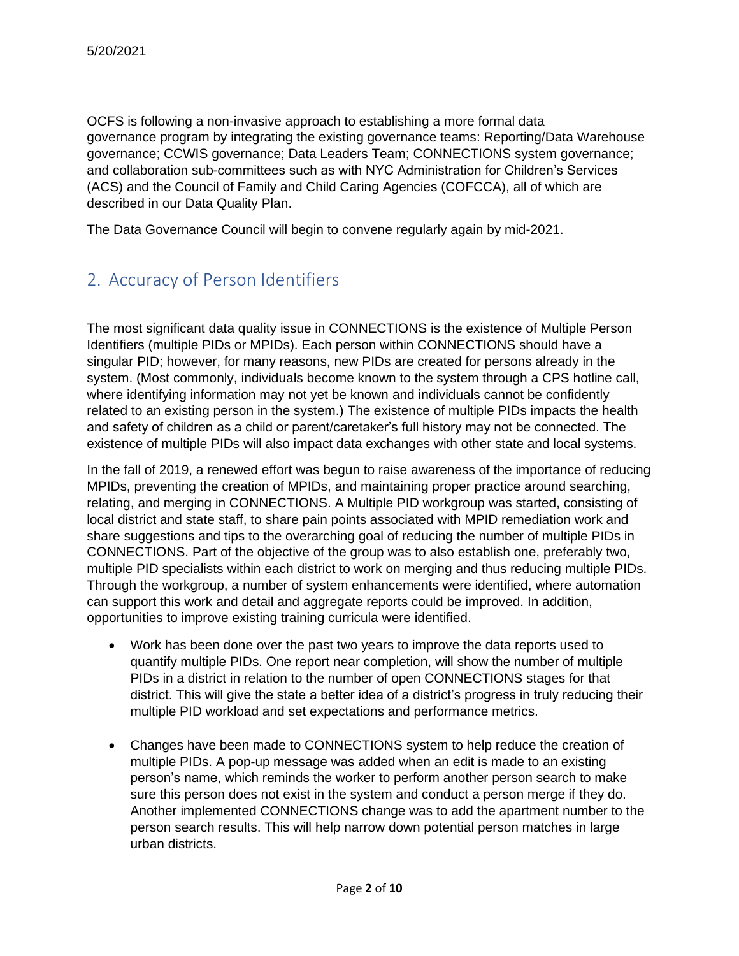OCFS is following a non-invasive approach to establishing a more formal data governance program by integrating the existing governance teams: Reporting/Data Warehouse governance; CCWIS governance; Data Leaders Team; CONNECTIONS system governance; and collaboration sub-committees such as with NYC Administration for Children's Services (ACS) and the Council of Family and Child Caring Agencies (COFCCA), all of which are described in our Data Quality Plan.

The Data Governance Council will begin to convene regularly again by mid-2021.

# 2. Accuracy of Person Identifiers

The most significant data quality issue in CONNECTIONS is the existence of Multiple Person Identifiers (multiple PIDs or MPIDs). Each person within CONNECTIONS should have a singular PID; however, for many reasons, new PIDs are created for persons already in the system. (Most commonly, individuals become known to the system through a CPS hotline call, where identifying information may not yet be known and individuals cannot be confidently related to an existing person in the system.) The existence of multiple PIDs impacts the health and safety of children as a child or parent/caretaker's full history may not be connected. The existence of multiple PIDs will also impact data exchanges with other state and local systems.

In the fall of 2019, a renewed effort was begun to raise awareness of the importance of reducing MPIDs, preventing the creation of MPIDs, and maintaining proper practice around searching, relating, and merging in CONNECTIONS. A Multiple PID workgroup was started, consisting of local district and state staff, to share pain points associated with MPID remediation work and share suggestions and tips to the overarching goal of reducing the number of multiple PIDs in CONNECTIONS. Part of the objective of the group was to also establish one, preferably two, multiple PID specialists within each district to work on merging and thus reducing multiple PIDs. Through the workgroup, a number of system enhancements were identified, where automation can support this work and detail and aggregate reports could be improved. In addition, opportunities to improve existing training curricula were identified.

- Work has been done over the past two years to improve the data reports used to quantify multiple PIDs. One report near completion, will show the number of multiple PIDs in a district in relation to the number of open CONNECTIONS stages for that district. This will give the state a better idea of a district's progress in truly reducing their multiple PID workload and set expectations and performance metrics.
- Changes have been made to CONNECTIONS system to help reduce the creation of multiple PIDs. A pop-up message was added when an edit is made to an existing person's name, which reminds the worker to perform another person search to make sure this person does not exist in the system and conduct a person merge if they do. Another implemented CONNECTIONS change was to add the apartment number to the person search results. This will help narrow down potential person matches in large urban districts.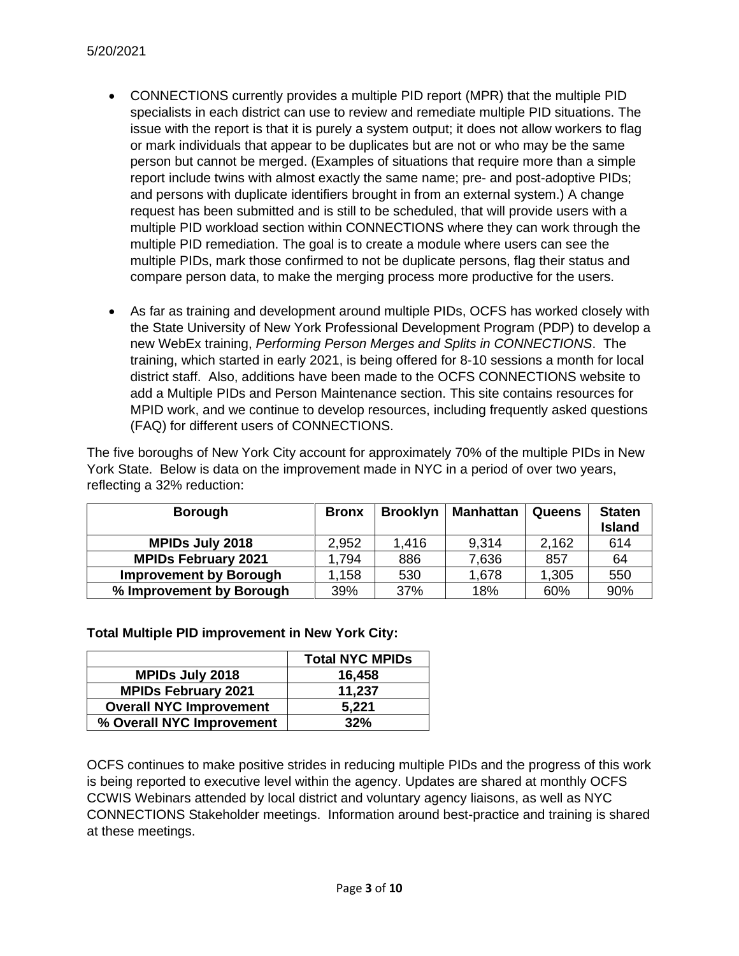- CONNECTIONS currently provides a multiple PID report (MPR) that the multiple PID specialists in each district can use to review and remediate multiple PID situations. The issue with the report is that it is purely a system output; it does not allow workers to flag or mark individuals that appear to be duplicates but are not or who may be the same person but cannot be merged. (Examples of situations that require more than a simple report include twins with almost exactly the same name; pre- and post-adoptive PIDs; and persons with duplicate identifiers brought in from an external system.) A change request has been submitted and is still to be scheduled, that will provide users with a multiple PID workload section within CONNECTIONS where they can work through the multiple PID remediation. The goal is to create a module where users can see the multiple PIDs, mark those confirmed to not be duplicate persons, flag their status and compare person data, to make the merging process more productive for the users.
- As far as training and development around multiple PIDs, OCFS has worked closely with the State University of New York Professional Development Program (PDP) to develop a new WebEx training, *Performing Person Merges and Splits in CONNECTIONS*. The training, which started in early 2021, is being offered for 8-10 sessions a month for local district staff. Also, additions have been made to the OCFS CONNECTIONS website to add a Multiple PIDs and Person Maintenance section. This site contains resources for MPID work, and we continue to develop resources, including frequently asked questions (FAQ) for different users of CONNECTIONS.

The five boroughs of New York City account for approximately 70% of the multiple PIDs in New York State. Below is data on the improvement made in NYC in a period of over two years, reflecting a 32% reduction:

| <b>Borough</b>                | <b>Bronx</b> | <b>Brooklyn</b> | <b>Manhattan</b> | Queens | <b>Staten</b> |
|-------------------------------|--------------|-----------------|------------------|--------|---------------|
|                               |              |                 |                  |        | <b>Island</b> |
| <b>MPIDs July 2018</b>        | 2,952        | 1,416           | 9,314            | 2,162  | 614           |
| <b>MPIDs February 2021</b>    | . 794        | 886             | 7,636            | 857    | 64            |
| <b>Improvement by Borough</b> | .158         | 530             | 1,678            | 1,305  | 550           |
| % Improvement by Borough      | 39%          | 37%             | 18%              | 60%    | 90%           |

#### **Total Multiple PID improvement in New York City:**

|                                | <b>Total NYC MPIDs</b> |
|--------------------------------|------------------------|
| <b>MPIDs July 2018</b>         | 16,458                 |
| <b>MPIDs February 2021</b>     | 11,237                 |
| <b>Overall NYC Improvement</b> | 5,221                  |
| % Overall NYC Improvement      | 32%                    |

OCFS continues to make positive strides in reducing multiple PIDs and the progress of this work is being reported to executive level within the agency. Updates are shared at monthly OCFS CCWIS Webinars attended by local district and voluntary agency liaisons, as well as NYC CONNECTIONS Stakeholder meetings. Information around best-practice and training is shared at these meetings.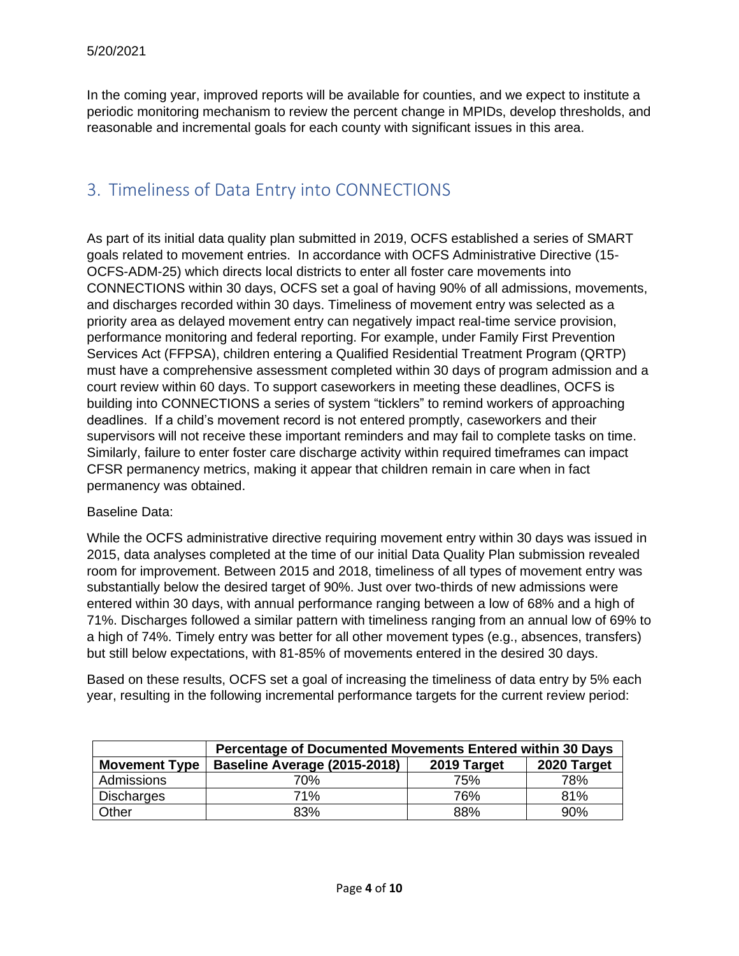In the coming year, improved reports will be available for counties, and we expect to institute a periodic monitoring mechanism to review the percent change in MPIDs, develop thresholds, and reasonable and incremental goals for each county with significant issues in this area.

## 3. Timeliness of Data Entry into CONNECTIONS

As part of its initial data quality plan submitted in 2019, OCFS established a series of SMART goals related to movement entries. In accordance with OCFS Administrative Directive (15- OCFS-ADM-25) which directs local districts to enter all foster care movements into CONNECTIONS within 30 days, OCFS set a goal of having 90% of all admissions, movements, and discharges recorded within 30 days. Timeliness of movement entry was selected as a priority area as delayed movement entry can negatively impact real-time service provision, performance monitoring and federal reporting. For example, under Family First Prevention Services Act (FFPSA), children entering a Qualified Residential Treatment Program (QRTP) must have a comprehensive assessment completed within 30 days of program admission and a court review within 60 days. To support caseworkers in meeting these deadlines, OCFS is building into CONNECTIONS a series of system "ticklers" to remind workers of approaching deadlines. If a child's movement record is not entered promptly, caseworkers and their supervisors will not receive these important reminders and may fail to complete tasks on time. Similarly, failure to enter foster care discharge activity within required timeframes can impact CFSR permanency metrics, making it appear that children remain in care when in fact permanency was obtained.

#### Baseline Data:

While the OCFS administrative directive requiring movement entry within 30 days was issued in 2015, data analyses completed at the time of our initial Data Quality Plan submission revealed room for improvement. Between 2015 and 2018, timeliness of all types of movement entry was substantially below the desired target of 90%. Just over two-thirds of new admissions were entered within 30 days, with annual performance ranging between a low of 68% and a high of 71%. Discharges followed a similar pattern with timeliness ranging from an annual low of 69% to a high of 74%. Timely entry was better for all other movement types (e.g., absences, transfers) but still below expectations, with 81-85% of movements entered in the desired 30 days.

Based on these results, OCFS set a goal of increasing the timeliness of data entry by 5% each year, resulting in the following incremental performance targets for the current review period:

|                      | <b>Percentage of Documented Movements Entered within 30 Days</b> |     |     |  |  |  |  |
|----------------------|------------------------------------------------------------------|-----|-----|--|--|--|--|
| <b>Movement Type</b> | Baseline Average (2015-2018)<br>2020 Target<br>2019 Target       |     |     |  |  |  |  |
| Admissions           | 70%                                                              | 75% | 78% |  |  |  |  |
| <b>Discharges</b>    | <b>71%</b>                                                       | 76% | 81% |  |  |  |  |
| Other                | 83%                                                              | 88% | 90% |  |  |  |  |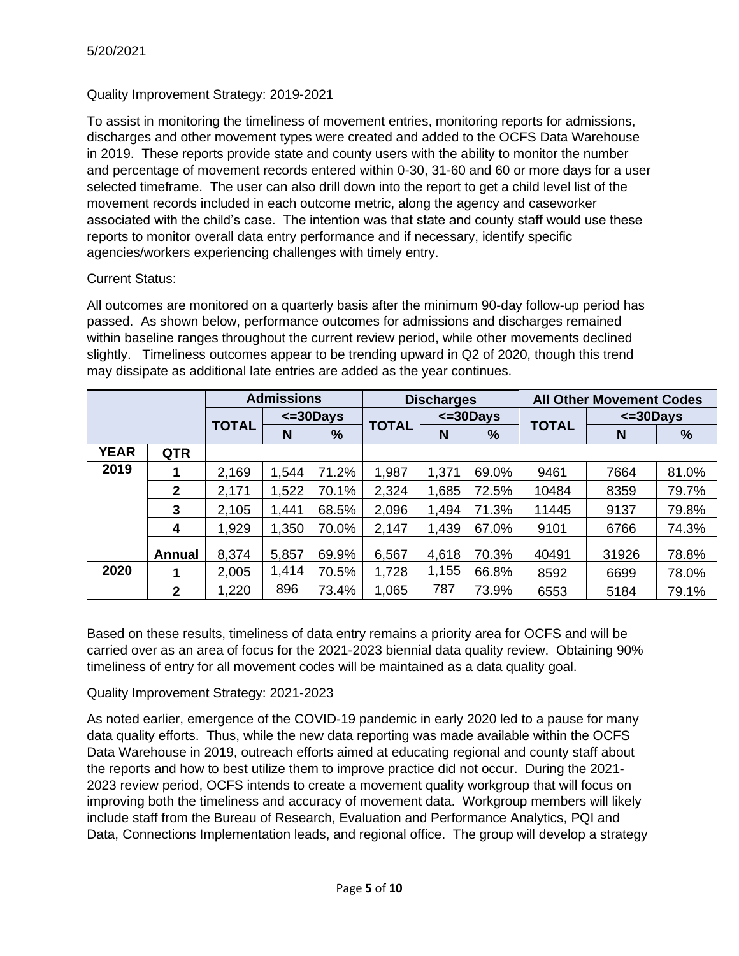#### Quality Improvement Strategy: 2019-2021

To assist in monitoring the timeliness of movement entries, monitoring reports for admissions, discharges and other movement types were created and added to the OCFS Data Warehouse in 2019. These reports provide state and county users with the ability to monitor the number and percentage of movement records entered within 0-30, 31-60 and 60 or more days for a user selected timeframe. The user can also drill down into the report to get a child level list of the movement records included in each outcome metric, along the agency and caseworker associated with the child's case. The intention was that state and county staff would use these reports to monitor overall data entry performance and if necessary, identify specific agencies/workers experiencing challenges with timely entry.

#### Current Status:

All outcomes are monitored on a quarterly basis after the minimum 90-day follow-up period has passed. As shown below, performance outcomes for admissions and discharges remained within baseline ranges throughout the current review period, while other movements declined slightly. Timeliness outcomes appear to be trending upward in Q2 of 2020, though this trend may dissipate as additional late entries are added as the year continues.

|             |               | <b>Admissions</b> |                    | <b>Discharges</b> |                |       | <b>All Other Movement Codes</b> |                |       |       |
|-------------|---------------|-------------------|--------------------|-------------------|----------------|-------|---------------------------------|----------------|-------|-------|
|             |               |                   | $\epsilon$ =30Days |                   | $\leq$ =30Days |       |                                 | $\leq$ =30Days |       |       |
|             |               | <b>TOTAL</b>      | N                  | $\frac{9}{6}$     | <b>TOTAL</b>   | N     | $\frac{9}{6}$                   | <b>TOTAL</b>   | N     | %     |
| <b>YEAR</b> | <b>QTR</b>    |                   |                    |                   |                |       |                                 |                |       |       |
| 2019        |               | 2,169             | 1,544              | 71.2%             | 1,987          | 1,371 | 69.0%                           | 9461           | 7664  | 81.0% |
|             | $\mathbf{2}$  | 2,171             | .522               | 70.1%             | 2,324          | 1,685 | 72.5%                           | 10484          | 8359  | 79.7% |
|             | 3             | 2,105             | 1,441              | 68.5%             | 2,096          | 1,494 | 71.3%                           | 11445          | 9137  | 79.8% |
|             | 4             | 1,929             | 1,350              | 70.0%             | 2,147          | 1,439 | 67.0%                           | 9101           | 6766  | 74.3% |
|             | <b>Annual</b> | 8,374             | 5,857              | 69.9%             | 6,567          | 4,618 | 70.3%                           | 40491          | 31926 | 78.8% |
| 2020        |               | 2,005             | 1,414              | 70.5%             | 1,728          | 1,155 | 66.8%                           | 8592           | 6699  | 78.0% |
|             | $\mathbf{2}$  | 1,220             | 896                | 73.4%             | 1,065          | 787   | 73.9%                           | 6553           | 5184  | 79.1% |

Based on these results, timeliness of data entry remains a priority area for OCFS and will be carried over as an area of focus for the 2021-2023 biennial data quality review. Obtaining 90% timeliness of entry for all movement codes will be maintained as a data quality goal.

Quality Improvement Strategy: 2021-2023

As noted earlier, emergence of the COVID-19 pandemic in early 2020 led to a pause for many data quality efforts. Thus, while the new data reporting was made available within the OCFS Data Warehouse in 2019, outreach efforts aimed at educating regional and county staff about the reports and how to best utilize them to improve practice did not occur. During the 2021- 2023 review period, OCFS intends to create a movement quality workgroup that will focus on improving both the timeliness and accuracy of movement data. Workgroup members will likely include staff from the Bureau of Research, Evaluation and Performance Analytics, PQI and Data, Connections Implementation leads, and regional office. The group will develop a strategy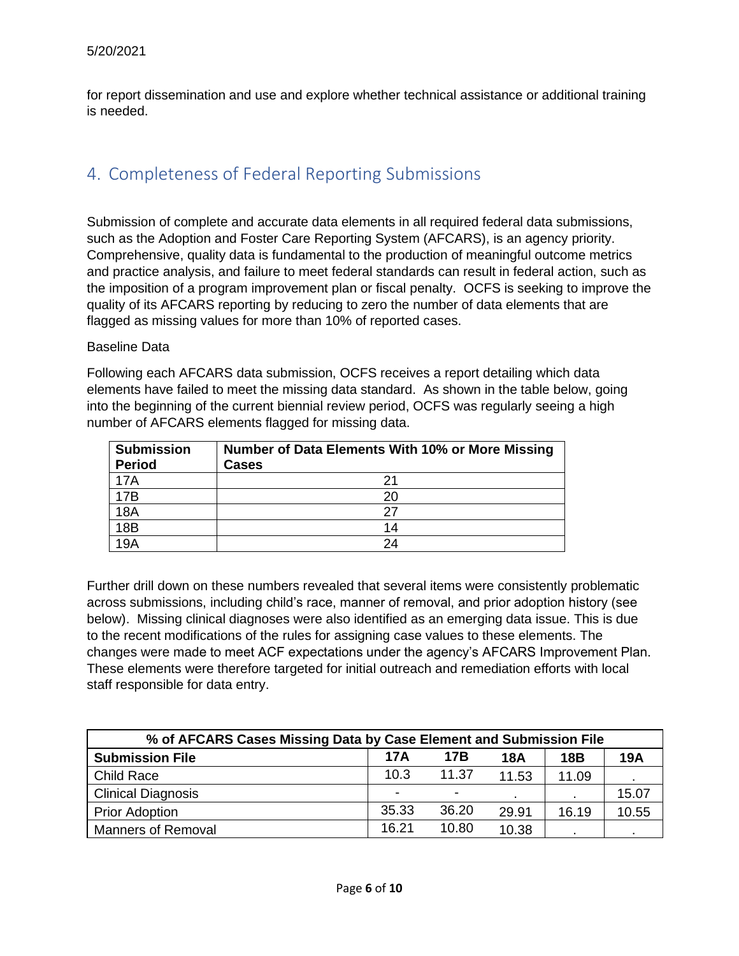for report dissemination and use and explore whether technical assistance or additional training is needed.

## 4. Completeness of Federal Reporting Submissions

Submission of complete and accurate data elements in all required federal data submissions, such as the Adoption and Foster Care Reporting System (AFCARS), is an agency priority. Comprehensive, quality data is fundamental to the production of meaningful outcome metrics and practice analysis, and failure to meet federal standards can result in federal action, such as the imposition of a program improvement plan or fiscal penalty. OCFS is seeking to improve the quality of its AFCARS reporting by reducing to zero the number of data elements that are flagged as missing values for more than 10% of reported cases.

#### Baseline Data

Following each AFCARS data submission, OCFS receives a report detailing which data elements have failed to meet the missing data standard. As shown in the table below, going into the beginning of the current biennial review period, OCFS was regularly seeing a high number of AFCARS elements flagged for missing data.

| <b>Submission</b><br><b>Period</b> | Number of Data Elements With 10% or More Missing<br>Cases |
|------------------------------------|-----------------------------------------------------------|
| 17A                                |                                                           |
| 17B                                | 20                                                        |
| 18 <sub>A</sub>                    | 27                                                        |
| 18B                                | 14                                                        |
| 19A                                | 24                                                        |

Further drill down on these numbers revealed that several items were consistently problematic across submissions, including child's race, manner of removal, and prior adoption history (see below). Missing clinical diagnoses were also identified as an emerging data issue. This is due to the recent modifications of the rules for assigning case values to these elements. The changes were made to meet ACF expectations under the agency's AFCARS Improvement Plan. These elements were therefore targeted for initial outreach and remediation efforts with local staff responsible for data entry.

| % of AFCARS Cases Missing Data by Case Element and Submission File |       |       |       |            |            |  |  |
|--------------------------------------------------------------------|-------|-------|-------|------------|------------|--|--|
| <b>Submission File</b>                                             | 17A   | 17B   | 18A   | <b>18B</b> | <b>19A</b> |  |  |
| Child Race                                                         | 10.3  | 11.37 | 11.53 | 11.09      |            |  |  |
| <b>Clinical Diagnosis</b>                                          | ۰     | ۰     |       | ٠.         | 15.07      |  |  |
| <b>Prior Adoption</b>                                              | 35.33 | 36.20 | 29.91 | 16.19      | 10.55      |  |  |
| <b>Manners of Removal</b>                                          | 16.21 | 10.80 | 10.38 |            |            |  |  |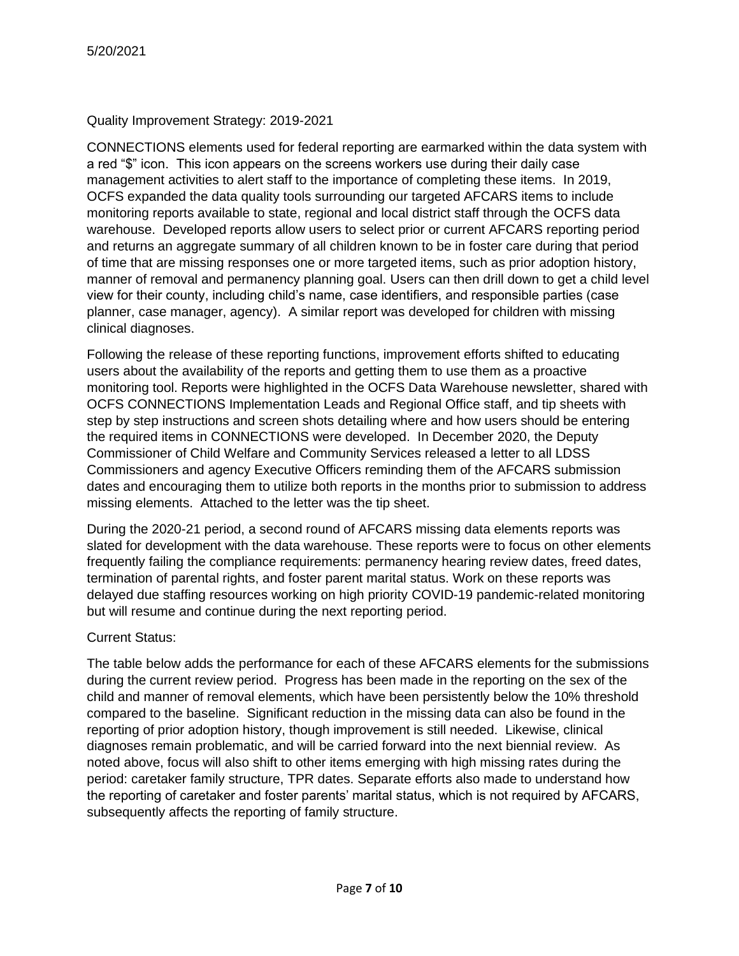#### Quality Improvement Strategy: 2019-2021

CONNECTIONS elements used for federal reporting are earmarked within the data system with a red "\$" icon. This icon appears on the screens workers use during their daily case management activities to alert staff to the importance of completing these items. In 2019, OCFS expanded the data quality tools surrounding our targeted AFCARS items to include monitoring reports available to state, regional and local district staff through the OCFS data warehouse. Developed reports allow users to select prior or current AFCARS reporting period and returns an aggregate summary of all children known to be in foster care during that period of time that are missing responses one or more targeted items, such as prior adoption history, manner of removal and permanency planning goal. Users can then drill down to get a child level view for their county, including child's name, case identifiers, and responsible parties (case planner, case manager, agency). A similar report was developed for children with missing clinical diagnoses.

Following the release of these reporting functions, improvement efforts shifted to educating users about the availability of the reports and getting them to use them as a proactive monitoring tool. Reports were highlighted in the OCFS Data Warehouse newsletter, shared with OCFS CONNECTIONS Implementation Leads and Regional Office staff, and tip sheets with step by step instructions and screen shots detailing where and how users should be entering the required items in CONNECTIONS were developed. In December 2020, the Deputy Commissioner of Child Welfare and Community Services released a letter to all LDSS Commissioners and agency Executive Officers reminding them of the AFCARS submission dates and encouraging them to utilize both reports in the months prior to submission to address missing elements. Attached to the letter was the tip sheet.

During the 2020-21 period, a second round of AFCARS missing data elements reports was slated for development with the data warehouse. These reports were to focus on other elements frequently failing the compliance requirements: permanency hearing review dates, freed dates, termination of parental rights, and foster parent marital status. Work on these reports was delayed due staffing resources working on high priority COVID-19 pandemic-related monitoring but will resume and continue during the next reporting period.

#### Current Status:

The table below adds the performance for each of these AFCARS elements for the submissions during the current review period. Progress has been made in the reporting on the sex of the child and manner of removal elements, which have been persistently below the 10% threshold compared to the baseline. Significant reduction in the missing data can also be found in the reporting of prior adoption history, though improvement is still needed. Likewise, clinical diagnoses remain problematic, and will be carried forward into the next biennial review. As noted above, focus will also shift to other items emerging with high missing rates during the period: caretaker family structure, TPR dates. Separate efforts also made to understand how the reporting of caretaker and foster parents' marital status, which is not required by AFCARS, subsequently affects the reporting of family structure.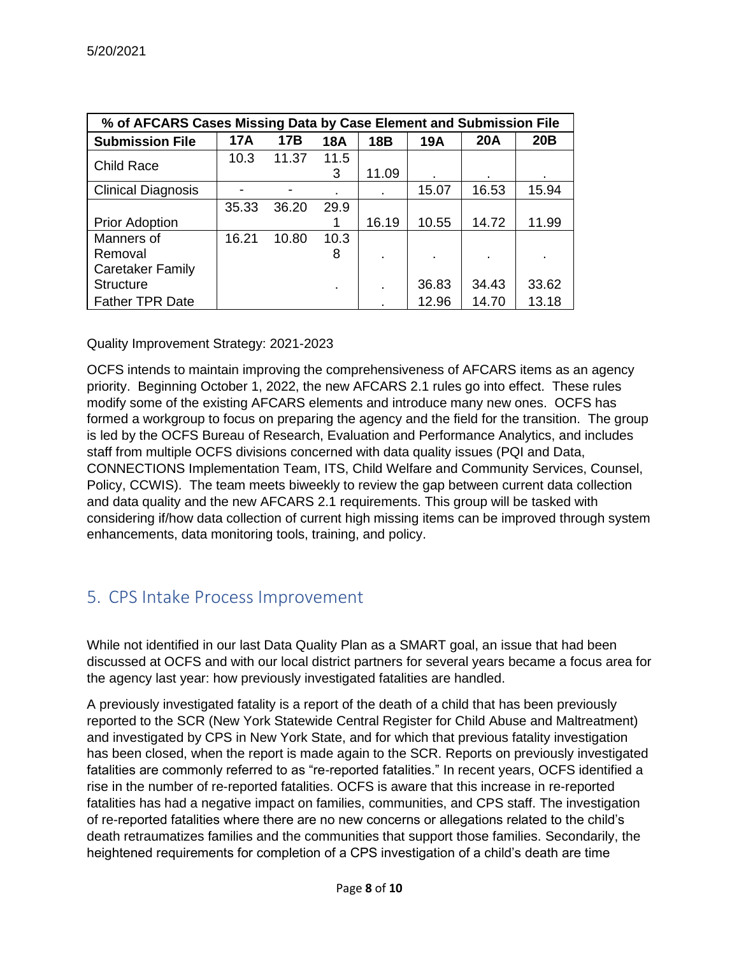| % of AFCARS Cases Missing Data by Case Element and Submission File |            |       |            |            |       |            |       |  |
|--------------------------------------------------------------------|------------|-------|------------|------------|-------|------------|-------|--|
| <b>Submission File</b>                                             | <b>17A</b> | 17B   | <b>18A</b> | <b>18B</b> | 19A   | <b>20A</b> | 20B   |  |
| Child Race                                                         | 10.3       | 11.37 | 11.5       |            |       |            |       |  |
|                                                                    |            |       | 3          | 11.09      |       |            |       |  |
| <b>Clinical Diagnosis</b>                                          |            |       |            |            | 15.07 | 16.53      | 15.94 |  |
|                                                                    | 35.33      | 36.20 | 29.9       |            |       |            |       |  |
| <b>Prior Adoption</b>                                              |            |       |            | 16.19      | 10.55 | 14.72      | 11.99 |  |
| Manners of                                                         | 16.21      | 10.80 | 10.3       |            |       |            |       |  |
| Removal                                                            |            |       | 8          |            |       |            |       |  |
| <b>Caretaker Family</b>                                            |            |       |            |            |       |            |       |  |
| <b>Structure</b>                                                   |            |       | ٠.         |            | 36.83 | 34.43      | 33.62 |  |
| <b>Father TPR Date</b>                                             |            |       |            |            | 12.96 | 14.70      | 13.18 |  |

Quality Improvement Strategy: 2021-2023

OCFS intends to maintain improving the comprehensiveness of AFCARS items as an agency priority. Beginning October 1, 2022, the new AFCARS 2.1 rules go into effect. These rules modify some of the existing AFCARS elements and introduce many new ones. OCFS has formed a workgroup to focus on preparing the agency and the field for the transition. The group is led by the OCFS Bureau of Research, Evaluation and Performance Analytics, and includes staff from multiple OCFS divisions concerned with data quality issues (PQI and Data, CONNECTIONS Implementation Team, ITS, Child Welfare and Community Services, Counsel, Policy, CCWIS). The team meets biweekly to review the gap between current data collection and data quality and the new AFCARS 2.1 requirements. This group will be tasked with considering if/how data collection of current high missing items can be improved through system enhancements, data monitoring tools, training, and policy.

### 5. CPS Intake Process Improvement

While not identified in our last Data Quality Plan as a SMART goal, an issue that had been discussed at OCFS and with our local district partners for several years became a focus area for the agency last year: how previously investigated fatalities are handled.

A previously investigated fatality is a report of the death of a child that has been previously reported to the SCR (New York Statewide Central Register for Child Abuse and Maltreatment) and investigated by CPS in New York State, and for which that previous fatality investigation has been closed, when the report is made again to the SCR. Reports on previously investigated fatalities are commonly referred to as "re-reported fatalities." In recent years, OCFS identified a rise in the number of re-reported fatalities. OCFS is aware that this increase in re-reported fatalities has had a negative impact on families, communities, and CPS staff. The investigation of re-reported fatalities where there are no new concerns or allegations related to the child's death retraumatizes families and the communities that support those families. Secondarily, the heightened requirements for completion of a CPS investigation of a child's death are time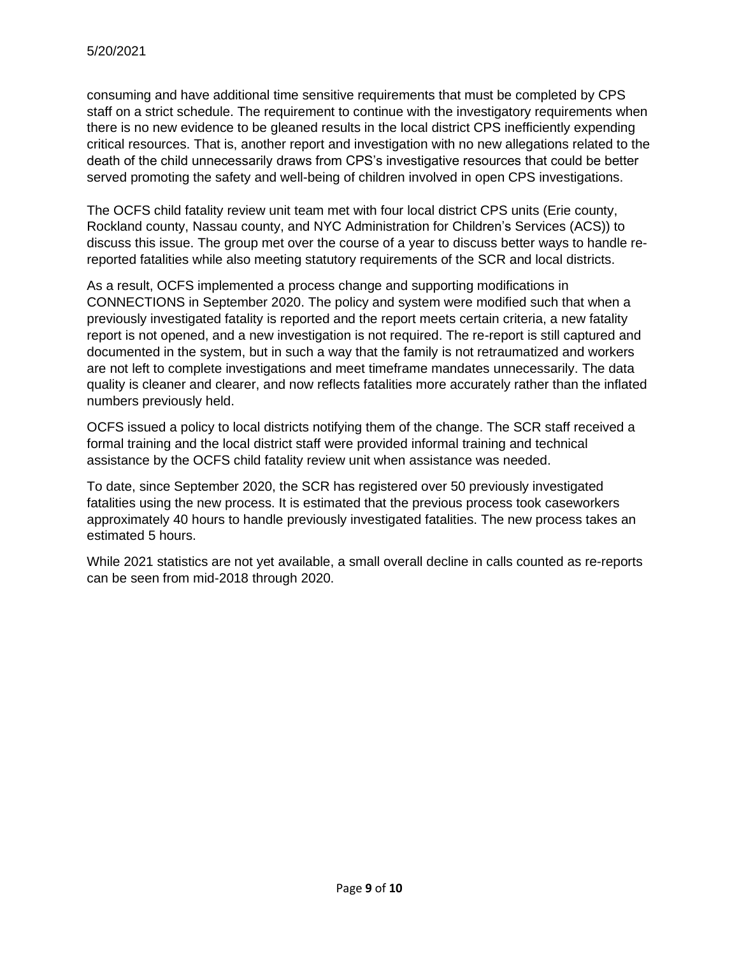consuming and have additional time sensitive requirements that must be completed by CPS staff on a strict schedule. The requirement to continue with the investigatory requirements when there is no new evidence to be gleaned results in the local district CPS inefficiently expending critical resources. That is, another report and investigation with no new allegations related to the death of the child unnecessarily draws from CPS's investigative resources that could be better served promoting the safety and well-being of children involved in open CPS investigations.

The OCFS child fatality review unit team met with four local district CPS units (Erie county, Rockland county, Nassau county, and NYC Administration for Children's Services (ACS)) to discuss this issue. The group met over the course of a year to discuss better ways to handle rereported fatalities while also meeting statutory requirements of the SCR and local districts.

As a result, OCFS implemented a process change and supporting modifications in CONNECTIONS in September 2020. The policy and system were modified such that when a previously investigated fatality is reported and the report meets certain criteria, a new fatality report is not opened, and a new investigation is not required. The re-report is still captured and documented in the system, but in such a way that the family is not retraumatized and workers are not left to complete investigations and meet timeframe mandates unnecessarily. The data quality is cleaner and clearer, and now reflects fatalities more accurately rather than the inflated numbers previously held.

OCFS issued a policy to local districts notifying them of the change. The SCR staff received a formal training and the local district staff were provided informal training and technical assistance by the OCFS child fatality review unit when assistance was needed.

To date, since September 2020, the SCR has registered over 50 previously investigated fatalities using the new process. It is estimated that the previous process took caseworkers approximately 40 hours to handle previously investigated fatalities. The new process takes an estimated 5 hours.

While 2021 statistics are not yet available, a small overall decline in calls counted as re-reports can be seen from mid-2018 through 2020.